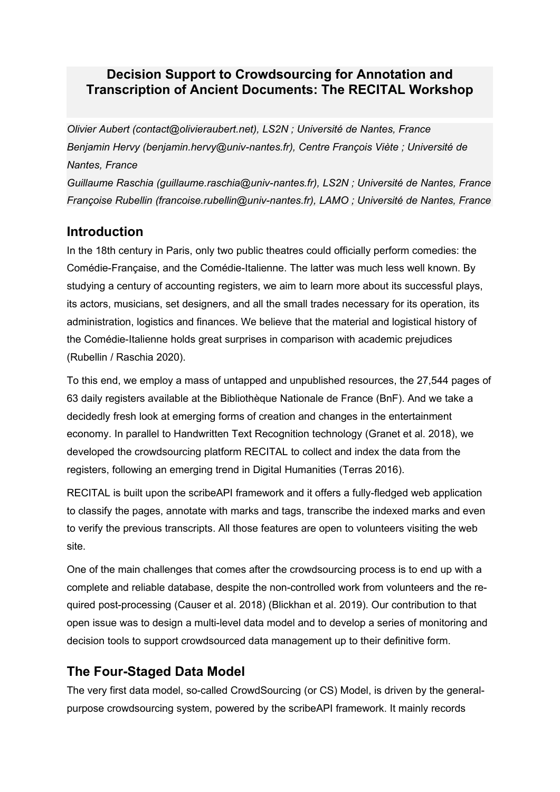## **Decision Support to Crowdsourcing for Annotation and Transcription of Ancient Documents: The RECITAL Workshop**

*Olivier Aubert (contact@olivieraubert.net), LS2N ; Université de Nantes, France Benjamin Hervy (benjamin.hervy@univ-nantes.fr), Centre François Viète ; Université de Nantes, France Guillaume Raschia (guillaume.raschia@univ-nantes.fr), LS2N ; Université de Nantes, France Françoise Rubellin (francoise.rubellin@univ-nantes.fr), LAMO ; Université de Nantes, France*

## **Introduction**

In the 18th century in Paris, only two public theatres could officially perform comedies: the Comédie-Française, and the Comédie-Italienne. The latter was much less well known. By studying a century of accounting registers, we aim to learn more about its successful plays, its actors, musicians, set designers, and all the small trades necessary for its operation, its administration, logistics and finances. We believe that the material and logistical history of the Comédie-Italienne holds great surprises in comparison with academic prejudices (Rubellin / Raschia 2020).

To this end, we employ a mass of untapped and unpublished resources, the 27,544 pages of 63 daily registers available at the Bibliothèque Nationale de France (BnF). And we take a decidedly fresh look at emerging forms of creation and changes in the entertainment economy. In parallel to Handwritten Text Recognition technology (Granet et al. 2018), we developed the crowdsourcing platform RECITAL to collect and index the data from the registers, following an emerging trend in Digital Humanities (Terras 2016).

RECITAL is built upon the scribeAPI framework and it offers a fully-fledged web application to classify the pages, annotate with marks and tags, transcribe the indexed marks and even to verify the previous transcripts. All those features are open to volunteers visiting the web site.

One of the main challenges that comes after the crowdsourcing process is to end up with a complete and reliable database, despite the non-controlled work from volunteers and the required post-processing (Causer et al. 2018) (Blickhan et al. 2019). Our contribution to that open issue was to design a multi-level data model and to develop a series of monitoring and decision tools to support crowdsourced data management up to their definitive form.

# **The Four-Staged Data Model**

The very first data model, so-called CrowdSourcing (or CS) Model, is driven by the generalpurpose crowdsourcing system, powered by the scribeAPI framework. It mainly records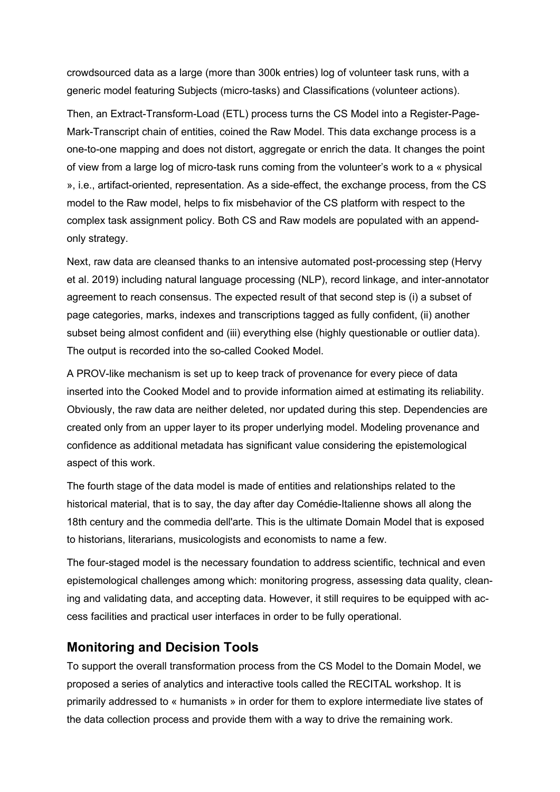crowdsourced data as a large (more than 300k entries) log of volunteer task runs, with a generic model featuring Subjects (micro-tasks) and Classifications (volunteer actions).

Then, an Extract-Transform-Load (ETL) process turns the CS Model into a Register-Page-Mark-Transcript chain of entities, coined the Raw Model. This data exchange process is a one-to-one mapping and does not distort, aggregate or enrich the data. It changes the point of view from a large log of micro-task runs coming from the volunteer's work to a « physical », i.e., artifact-oriented, representation. As a side-effect, the exchange process, from the CS model to the Raw model, helps to fix misbehavior of the CS platform with respect to the complex task assignment policy. Both CS and Raw models are populated with an appendonly strategy.

Next, raw data are cleansed thanks to an intensive automated post-processing step (Hervy et al. 2019) including natural language processing (NLP), record linkage, and inter-annotator agreement to reach consensus. The expected result of that second step is (i) a subset of page categories, marks, indexes and transcriptions tagged as fully confident, (ii) another subset being almost confident and (iii) everything else (highly questionable or outlier data). The output is recorded into the so-called Cooked Model.

A PROV-like mechanism is set up to keep track of provenance for every piece of data inserted into the Cooked Model and to provide information aimed at estimating its reliability. Obviously, the raw data are neither deleted, nor updated during this step. Dependencies are created only from an upper layer to its proper underlying model. Modeling provenance and confidence as additional metadata has significant value considering the epistemological aspect of this work.

The fourth stage of the data model is made of entities and relationships related to the historical material, that is to say, the day after day Comédie-Italienne shows all along the 18th century and the commedia dell'arte. This is the ultimate Domain Model that is exposed to historians, literarians, musicologists and economists to name a few.

The four-staged model is the necessary foundation to address scientific, technical and even epistemological challenges among which: monitoring progress, assessing data quality, cleaning and validating data, and accepting data. However, it still requires to be equipped with access facilities and practical user interfaces in order to be fully operational.

### **Monitoring and Decision Tools**

To support the overall transformation process from the CS Model to the Domain Model, we proposed a series of analytics and interactive tools called the RECITAL workshop. It is primarily addressed to « humanists » in order for them to explore intermediate live states of the data collection process and provide them with a way to drive the remaining work.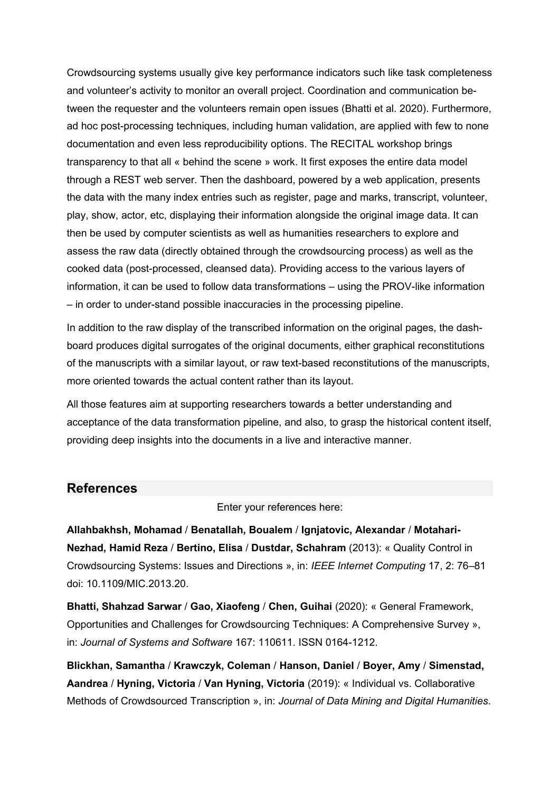Crowdsourcing systems usually give key performance indicators such like task completeness and volunteer's activity to monitor an overall project. Coordination and communication between the requester and the volunteers remain open issues (Bhatti et al. 2020). Furthermore, ad hoc post-processing techniques, including human validation, are applied with few to none documentation and even less reproducibility options. The RECITAL workshop brings transparency to that all « behind the scene » work. It first exposes the entire data model through a REST web server. Then the dashboard, powered by a web application, presents the data with the many index entries such as register, page and marks, transcript, volunteer, play, show, actor, etc, displaying their information alongside the original image data. It can then be used by computer scientists as well as humanities researchers to explore and assess the raw data (directly obtained through the crowdsourcing process) as well as the cooked data (post-processed, cleansed data). Providing access to the various layers of information, it can be used to follow data transformations – using the PROV-like information – in order to under-stand possible inaccuracies in the processing pipeline.

In addition to the raw display of the transcribed information on the original pages, the dashboard produces digital surrogates of the original documents, either graphical reconstitutions of the manuscripts with a similar layout, or raw text-based reconstitutions of the manuscripts, more oriented towards the actual content rather than its layout.

All those features aim at supporting researchers towards a better understanding and acceptance of the data transformation pipeline, and also, to grasp the historical content itself, providing deep insights into the documents in a live and interactive manner.

#### **References**

Enter your references here:

**Allahbakhsh, Mohamad** / **Benatallah, Boualem** / **Ignjatovic, Alexandar** / **Motahari-Nezhad, Hamid Reza** / **Bertino, Elisa** / **Dustdar, Schahram** (2013): « Quality Control in Crowdsourcing Systems: Issues and Directions », in: *IEEE Internet Computing* 17, 2: 76–81 doi: 10.1109/MIC.2013.20.

**Bhatti, Shahzad Sarwar** / **Gao, Xiaofeng** / **Chen, Guihai** (2020): « General Framework, Opportunities and Challenges for Crowdsourcing Techniques: A Comprehensive Survey », in: *Journal of Systems and Software* 167: 110611. ISSN 0164-1212.

**Blickhan, Samantha** / **Krawczyk, Coleman** / **Hanson, Daniel** / **Boyer, Amy** / **Simenstad, Aandrea** / **Hyning, Victoria** / **Van Hyning, Victoria** (2019): « Individual vs. Collaborative Methods of Crowdsourced Transcription », in: *Journal of Data Mining and Digital Humanities*.